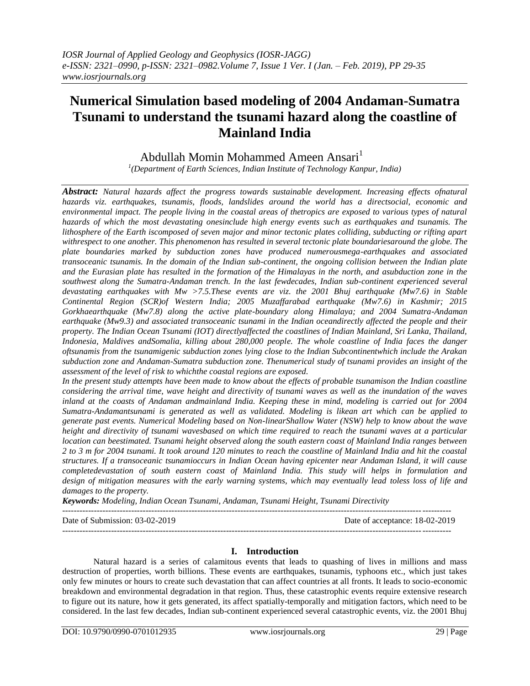# **Numerical Simulation based modeling of 2004 Andaman-Sumatra Tsunami to understand the tsunami hazard along the coastline of Mainland India**

# Abdullah Momin Mohammed Ameen Ansari<sup>1</sup>

*1 (Department of Earth Sciences, Indian Institute of Technology Kanpur, India)*

*Abstract: Natural hazards affect the progress towards sustainable development. Increasing effects ofnatural hazards viz. earthquakes, tsunamis, floods, landslides around the world has a directsocial, economic and environmental impact. The people living in the coastal areas of thetropics are exposed to various types of natural hazards of which the most devastating onesinclude high energy events such as earthquakes and tsunamis. The lithosphere of the Earth iscomposed of seven major and minor tectonic plates colliding, subducting or rifting apart withrespect to one another. This phenomenon has resulted in several tectonic plate boundariesaround the globe. The plate boundaries marked by subduction zones have produced numerousmega-earthquakes and associated transoceanic tsunamis. In the domain of the Indian sub-continent, the ongoing collision between the Indian plate and the Eurasian plate has resulted in the formation of the Himalayas in the north, and asubduction zone in the southwest along the Sumatra-Andaman trench. In the last fewdecades, Indian sub-continent experienced several devastating earthquakes with Mw >7.5.These events are viz. the 2001 Bhuj earthquake (Mw7.6) in Stable Continental Region (SCR)of Western India; 2005 Muzaffarabad earthquake (Mw7.6) in Kashmir; 2015 Gorkhaearthquake (Mw7.8) along the active plate-boundary along Himalaya; and 2004 Sumatra-Andaman earthquake (Mw9.3) and associated transoceanic tsunami in the Indian oceandirectly affected the people and their property. The Indian Ocean Tsunami (IOT) directlyaffected the coastlines of Indian Mainland, Sri Lanka, Thailand, Indonesia, Maldives andSomalia, killing about 280,000 people. The whole coastline of India faces the danger oftsunamis from the tsunamigenic subduction zones lying close to the Indian Subcontinentwhich include the Arakan subduction zone and Andaman-Sumatra subduction zone. Thenumerical study of tsunami provides an insight of the assessment of the level of risk to whichthe coastal regions are exposed.*

In the present study attempts have been made to know about the effects of probable tsunamison the Indian coastline *considering the arrival time, wave height and directivity of tsunami waves as well as the inundation of the waves inland at the coasts of Andaman andmainland India. Keeping these in mind, modeling is carried out for 2004 Sumatra-Andamantsunami is generated as well as validated. Modeling is likean art which can be applied to generate past events. Numerical Modeling based on Non-linearShallow Water (NSW) help to know about the wave height and directivity of tsunami wavesbased on which time required to reach the tsunami waves at a particular location can beestimated. Tsunami height observed along the south eastern coast of Mainland India ranges between 2 to 3 m for 2004 tsunami. It took around 120 minutes to reach the coastline of Mainland India and hit the coastal structures. If a transoceanic tsunamioccurs in Indian Ocean having epicenter near Andaman Island, it will cause completedevastation of south eastern coast of Mainland India. This study will helps in formulation and design of mitigation measures with the early warning systems, which may eventually lead toless loss of life and damages to the property.*

*Keywords: Modeling, Indian Ocean Tsunami, Andaman, Tsunami Height, Tsunami Directivity* 

Date of Submission: 03-02-2019 Date of acceptance: 18-02-2019

---------------------------------------------------------------------------------------------------------------------------------------

---------------------------------------------------------------------------------------------------------------------------------------

# **I. Introduction**

Natural hazard is a series of calamitous events that leads to quashing of lives in millions and mass destruction of properties, worth billions. These events are earthquakes, tsunamis, typhoons etc., which just takes only few minutes or hours to create such devastation that can affect countries at all fronts. It leads to socio-economic breakdown and environmental degradation in that region. Thus, these catastrophic events require extensive research to figure out its nature, how it gets generated, its affect spatially-temporally and mitigation factors, which need to be considered. In the last few decades, Indian sub-continent experienced several catastrophic events, viz. the 2001 Bhuj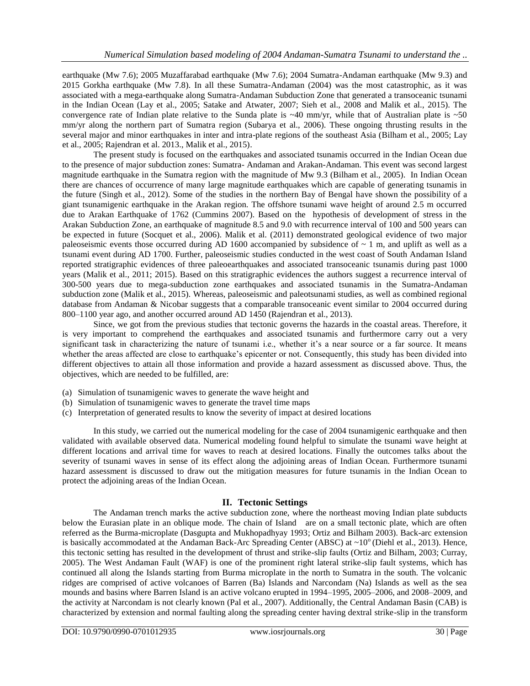earthquake (Mw 7.6); 2005 Muzaffarabad earthquake (Mw 7.6); 2004 Sumatra-Andaman earthquake (Mw 9.3) and 2015 Gorkha earthquake (Mw 7.8). In all these Sumatra-Andaman (2004) was the most catastrophic, as it was associated with a mega-earthquake along Sumatra-Andaman Subduction Zone that generated a transoceanic tsunami in the Indian Ocean (Lay et al., 2005; Satake and Atwater, 2007; Sieh et al., 2008 and Malik et al., 2015). The convergence rate of Indian plate relative to the Sunda plate is  $~40$  mm/yr, while that of Australian plate is  $~50$ mm/yr along the northern part of Sumatra region (Subarya et al., 2006). These ongoing thrusting results in the several major and minor earthquakes in inter and intra-plate regions of the southeast Asia (Bilham et al., 2005; Lay et al., 2005; Rajendran et al. 2013., Malik et al., 2015).

The present study is focused on the earthquakes and associated tsunamis occurred in the Indian Ocean due to the presence of major subduction zones: Sumatra- Andaman and Arakan-Andaman. This event was second largest magnitude earthquake in the Sumatra region with the magnitude of Mw 9.3 (Bilham et al., 2005). In Indian Ocean there are chances of occurrence of many large magnitude earthquakes which are capable of generating tsunamis in the future (Singh et al., 2012). Some of the studies in the northern Bay of Bengal have shown the possibility of a giant tsunamigenic earthquake in the Arakan region. The offshore tsunami wave height of around 2.5 m occurred due to Arakan Earthquake of 1762 (Cummins 2007). Based on the hypothesis of development of stress in the Arakan Subduction Zone, an earthquake of magnitude 8.5 and 9.0 with recurrence interval of 100 and 500 years can be expected in future (Socquet et al., 2006). Malik et al. (2011) demonstrated geological evidence of two major paleoseismic events those occurred during AD 1600 accompanied by subsidence of  $\sim 1$  m, and uplift as well as a tsunami event during AD 1700. Further, paleoseismic studies conducted in the west coast of South Andaman Island reported stratigraphic evidences of three paleoearthquakes and associated transoceanic tsunamis during past 1000 years (Malik et al., 2011; 2015). Based on this stratigraphic evidences the authors suggest a recurrence interval of 300-500 years due to mega-subduction zone earthquakes and associated tsunamis in the Sumatra-Andaman subduction zone (Malik et al., 2015). Whereas, paleoseismic and paleotsunami studies, as well as combined regional database from Andaman & Nicobar suggests that a comparable transoceanic event similar to 2004 occurred during 800–1100 year ago, and another occurred around AD 1450 (Rajendran et al., 2013).

Since, we got from the previous studies that tectonic governs the hazards in the coastal areas. Therefore, it is very important to comprehend the earthquakes and associated tsunamis and furthermore carry out a very significant task in characterizing the nature of tsunami i.e., whether it's a near source or a far source. It means whether the areas affected are close to earthquake's epicenter or not. Consequently, this study has been divided into different objectives to attain all those information and provide a hazard assessment as discussed above. Thus, the objectives, which are needed to be fulfilled, are:

- (a) Simulation of tsunamigenic waves to generate the wave height and
- (b) Simulation of tsunamigenic waves to generate the travel time maps
- (c) Interpretation of generated results to know the severity of impact at desired locations

In this study, we carried out the numerical modeling for the case of 2004 tsunamigenic earthquake and then validated with available observed data. Numerical modeling found helpful to simulate the tsunami wave height at different locations and arrival time for waves to reach at desired locations. Finally the outcomes talks about the severity of tsunami waves in sense of its effect along the adjoining areas of Indian Ocean. Furthermore tsunami hazard assessment is discussed to draw out the mitigation measures for future tsunamis in the Indian Ocean to protect the adjoining areas of the Indian Ocean.

# **II. Tectonic Settings**

The Andaman trench marks the active subduction zone, where the northeast moving Indian plate subducts below the Eurasian plate in an oblique mode. The chain of Island are on a small tectonic plate, which are often referred as the Burma-microplate (Dasgupta and Mukhopadhyay 1993; Ortiz and Bilham 2003). Back-arc extension is basically accommodated at the Andaman Back-Arc Spreading Center (ABSC) at  $\sim 10^{\circ}$  (Diehl et al., 2013). Hence, this tectonic setting has resulted in the development of thrust and strike-slip faults (Ortiz and Bilham, 2003; Curray, 2005). The West Andaman Fault (WAF) is one of the prominent right lateral strike-slip fault systems, which has continued all along the Islands starting from Burma microplate in the north to Sumatra in the south. The volcanic ridges are comprised of active volcanoes of Barren (Ba) Islands and Narcondam (Na) Islands as well as the sea mounds and basins where Barren Island is an active volcano erupted in 1994–1995, 2005–2006, and 2008–2009, and the activity at Narcondam is not clearly known (Pal et al., 2007). Additionally, the Central Andaman Basin (CAB) is characterized by extension and normal faulting along the spreading center having dextral strike-slip in the transform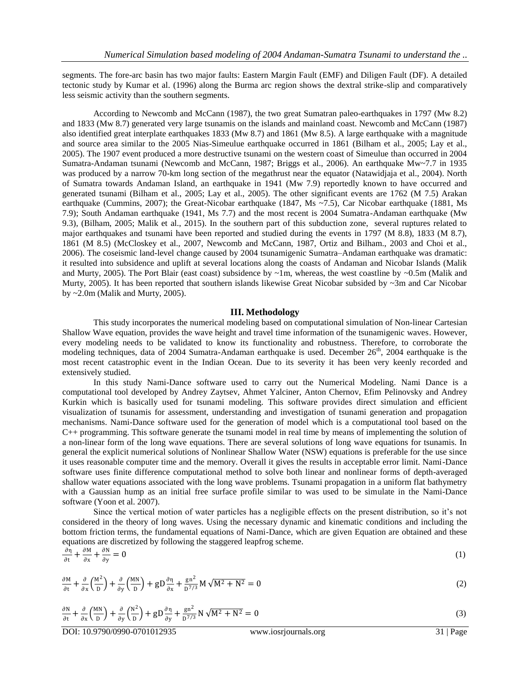segments. The fore-arc basin has two major faults: Eastern Margin Fault (EMF) and Diligen Fault (DF). A detailed tectonic study by Kumar et al. (1996) along the Burma arc region shows the dextral strike-slip and comparatively less seismic activity than the southern segments.

According to Newcomb and McCann (1987), the two great Sumatran paleo-earthquakes in 1797 (Mw 8.2) and 1833 (Mw 8.7) generated very large tsunamis on the islands and mainland coast. Newcomb and McCann (1987) also identified great interplate earthquakes 1833 (Mw 8.7) and 1861 (Mw 8.5). A large earthquake with a magnitude and source area similar to the 2005 Nias-Simeulue earthquake occurred in 1861 (Bilham et al., 2005; Lay et al., 2005). The 1907 event produced a more destructive tsunami on the western coast of Simeulue than occurred in 2004 Sumatra-Andaman tsunami (Newcomb and McCann, 1987; Briggs et al., 2006). An earthquake Mw~7.7 in 1935 was produced by a narrow 70-km long section of the megathrust near the equator (Natawidjaja et al., 2004). North of Sumatra towards Andaman Island, an earthquake in 1941 (Mw 7.9) reportedly known to have occurred and generated tsunami (Bilham et al., 2005; Lay et al., 2005). The other significant events are 1762 (M 7.5) Arakan earthquake (Cummins, 2007); the Great-Nicobar earthquake (1847, Ms  $\sim$  7.5), Car Nicobar earthquake (1881, Ms 7.9); South Andaman earthquake (1941, Ms 7.7) and the most recent is 2004 Sumatra-Andaman earthquake (Mw 9.3), (Bilham, 2005; Malik et al., 2015). In the southern part of this subduction zone, several ruptures related to major earthquakes and tsunami have been reported and studied during the events in 1797 (M 8.8), 1833 (M 8.7), 1861 (M 8.5) (McCloskey et al., 2007, Newcomb and McCann, 1987, Ortiz and Bilham., 2003 and Choi et al., 2006). The coseismic land-level change caused by 2004 tsunamigenic Sumatra–Andaman earthquake was dramatic: it resulted into subsidence and uplift at several locations along the coasts of Andaman and Nicobar Islands (Malik and Murty, 2005). The Port Blair (east coast) subsidence by  $\sim 1$ m, whereas, the west coastline by  $\sim 0.5$ m (Malik and Murty, 2005). It has been reported that southern islands likewise Great Nicobar subsided by ~3m and Car Nicobar by ~2.0m (Malik and Murty, 2005).

#### **III. Methodology**

This study incorporates the numerical modeling based on computational simulation of Non-linear Cartesian Shallow Wave equation, provides the wave height and travel time information of the tsunamigenic waves. However, every modeling needs to be validated to know its functionality and robustness. Therefore, to corroborate the modeling techniques, data of 2004 Sumatra-Andaman earthquake is used. December 26<sup>th</sup>, 2004 earthquake is the most recent catastrophic event in the Indian Ocean. Due to its severity it has been very keenly recorded and extensively studied.

In this study Nami-Dance software used to carry out the Numerical Modeling. Nami Dance is a computational tool developed by Andrey Zaytsev, Ahmet Yalciner, Anton Chernov, Efim Pelinovsky and Andrey Kurkin which is basically used for tsunami modeling. This software provides direct simulation and efficient visualization of tsunamis for assessment, understanding and investigation of tsunami generation and propagation mechanisms. Nami-Dance software used for the generation of model which is a computational tool based on the C++ programming. This software generate the tsunami model in real time by means of implementing the solution of a non-linear form of the long wave equations. There are several solutions of long wave equations for tsunamis. In general the explicit numerical solutions of Nonlinear Shallow Water (NSW) equations is preferable for the use since it uses reasonable computer time and the memory. Overall it gives the results in acceptable error limit. Nami-Dance software uses finite difference computational method to solve both linear and nonlinear forms of depth-averaged shallow water equations associated with the long wave problems. Tsunami propagation in a uniform flat bathymetry with a Gaussian hump as an initial free surface profile similar to was used to be simulate in the Nami-Dance software (Yoon et al. 2007).

Since the vertical motion of water particles has a negligible effects on the present distribution, so it's not considered in the theory of long waves. Using the necessary dynamic and kinematic conditions and including the bottom friction terms, the fundamental equations of Nami-Dance, which are given Equation are obtained and these equations are discretized by following the staggered leapfrog scheme.

$$
\frac{\partial \eta}{\partial t} + \frac{\partial M}{\partial x} + \frac{\partial N}{\partial y} = 0
$$
\n(1)

$$
\frac{\partial M}{\partial t} + \frac{\partial}{\partial x} \left( \frac{M^2}{D} \right) + \frac{\partial}{\partial y} \left( \frac{MN}{D} \right) + g D \frac{\partial \eta}{\partial x} + \frac{gn^2}{D^{7/3}} M \sqrt{M^2 + N^2} = 0
$$
\n(2)

$$
\frac{\partial N}{\partial t} + \frac{\partial}{\partial x} \left( \frac{MN}{D} \right) + \frac{\partial}{\partial y} \left( \frac{N^2}{D} \right) + g D \frac{\partial \eta}{\partial y} + \frac{gn^2}{D^{7/3}} N \sqrt{M^2 + N^2} = 0
$$
\n(3)

DOI: 10.9790/0990-0701012935 www.iosrjournals.org 31 | Page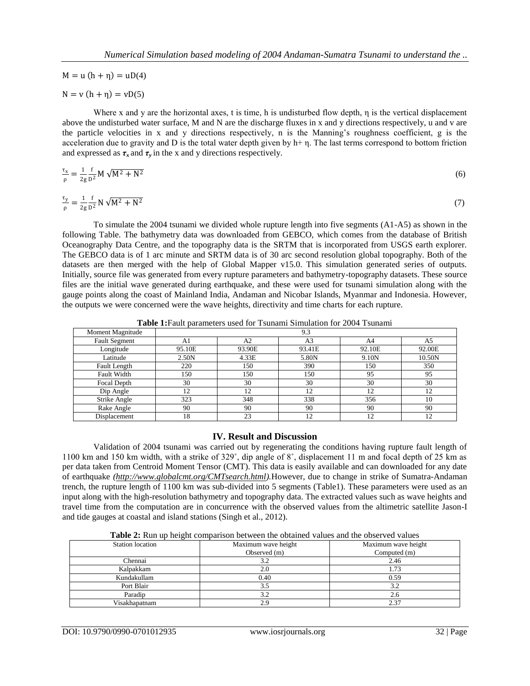$M = u(h + \eta) = uD(4)$ 

$$
N = v (h + \eta) = vD(5)
$$

Where x and y are the horizontal axes, t is time, h is undisturbed flow depth, η is the vertical displacement above the undisturbed water surface, M and N are the discharge fluxes in x and y directions respectively, u and v are the particle velocities in x and y directions respectively, n is the Manning's roughness coefficient, g is the acceleration due to gravity and D is the total water depth given by h+ η. The last terms correspond to bottom friction and expressed as  $\tau_x$  and  $\tau_y$  in the x and y directions respectively.

$$
\frac{\tau_{x}}{\rho} = \frac{1}{2g} \frac{f}{D^2} M \sqrt{M^2 + N^2}
$$
 (6)

$$
\frac{\tau_y}{\rho} = \frac{1}{2g} \frac{f}{D^2} N \sqrt{M^2 + N^2} \tag{7}
$$

To simulate the 2004 tsunami we divided whole rupture length into five segments (A1-A5) as shown in the following Table. The bathymetry data was downloaded from GEBCO, which comes from the database of British Oceanography Data Centre, and the topography data is the SRTM that is incorporated from USGS earth explorer. The GEBCO data is of 1 arc minute and SRTM data is of 30 arc second resolution global topography. Both of the datasets are then merged with the help of Global Mapper v15.0. This simulation generated series of outputs. Initially, source file was generated from every rupture parameters and bathymetry-topography datasets. These source files are the initial wave generated during earthquake, and these were used for tsunami simulation along with the gauge points along the coast of Mainland India, Andaman and Nicobar Islands, Myanmar and Indonesia. However, the outputs we were concerned were the wave heights, directivity and time charts for each rupture.

| <b>Table 1:</b> Fault parameters used for Tsunami Simulation for 2004 Tsunami |  |   |  |  |  |  |
|-------------------------------------------------------------------------------|--|---|--|--|--|--|
| Moment Magnitude                                                              |  |   |  |  |  |  |
| <b>Fault Segment</b>                                                          |  | ∼ |  |  |  |  |
|                                                                               |  |   |  |  |  |  |

| <b>Fault Segment</b> | Al     | A2     | A3     | A4     | A5     |
|----------------------|--------|--------|--------|--------|--------|
| Longitude            | 95.10E | 93.90E | 93.41E | 92.10E | 92.00E |
| Latitude             | 2.50N  | 4.33E  | 5.80N  | 9.10N  | 10.50N |
| Fault Length         | 220    | 150    | 390    | 150    | 350    |
| <b>Fault Width</b>   | 150    | 150    | 150    | 95     | 95     |
| Focal Depth          | 30     | 30     | 30     | 30     | 30     |
| Dip Angle            | 12     | 12     | 12     | 12     |        |
| Strike Angle         | 323    | 348    | 338    | 356    | 10     |
| Rake Angle           | 90     | 90     | 90     | 90     | 90     |
| Displacement         | 18     | 23     | 12     | 12     | ר ו    |

# **IV. Result and Discussion**

Validation of 2004 tsunami was carried out by regenerating the conditions having rupture fault length of 1100 km and 150 km width, with a strike of 329˚, dip angle of 8˚, displacement 11 m and focal depth of 25 km as per data taken from Centroid Moment Tensor (CMT). This data is easily available and can downloaded for any date of earthquake *[\(http://www.globalcmt.org/CMTsearch.html\)](http://www.globalcmt.org/CMTsearch.html).*However, due to change in strike of Sumatra-Andaman trench, the rupture length of 1100 km was sub-divided into 5 segments (Table1). These parameters were used as an input along with the high-resolution bathymetry and topography data. The extracted values such as wave heights and travel time from the computation are in concurrence with the observed values from the altimetric satellite Jason-I and tide gauges at coastal and island stations (Singh et al., 2012).

**Table 2:** Run up height comparison between the obtained values and the observed values

| Station location | Maximum wave height<br>Observed (m) | Maximum wave height<br>Computed (m) |
|------------------|-------------------------------------|-------------------------------------|
| Chennai          |                                     | 2.46                                |
| Kalpakkam        | 2.0                                 | 1.73                                |
| Kundakullam      | 0.40                                | 0.59                                |
| Port Blair       | 3.5                                 | 3.2                                 |
| Paradip          | 3.2                                 | 2.6                                 |
| Visakhapatnam    | 2.9                                 | 2.37                                |

┑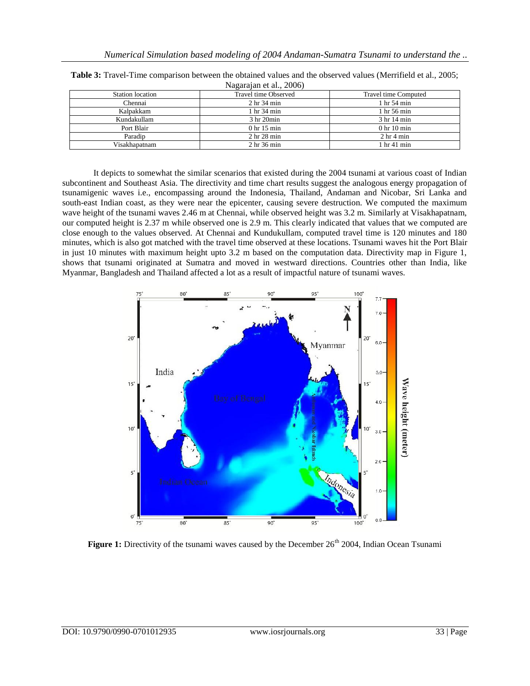| $1.44 \times 10^{14}$ ct and $2000$ |                                   |                                   |  |  |  |
|-------------------------------------|-----------------------------------|-----------------------------------|--|--|--|
| Station location                    | Travel time Observed              | Travel time Computed              |  |  |  |
| Chennai                             | 2 hr 34 min                       | 1 <sub>hr</sub> 54 min            |  |  |  |
| Kalpakkam                           | 1 hr 34 min                       | 1 hr 56 min                       |  |  |  |
| Kundakullam                         | 3 <sub>hr</sub> 20 <sub>min</sub> | 3 hr 14 min                       |  |  |  |
| Port Blair                          | 0 <sub>hr</sub> 15 <sub>min</sub> | 0 <sub>hr</sub> 10 <sub>min</sub> |  |  |  |
| Paradip                             | 2 <sub>hr</sub> 28 min            | 2 <sub>hr</sub> 4 <sub>min</sub>  |  |  |  |
| Visakhapatnam                       | 2 <sub>hr</sub> 36 min            | 1 hr 41 min                       |  |  |  |

**Table 3:** Travel-Time comparison between the obtained values and the observed values (Merrifield et al., 2005; Nagarajan et al., 2006)

It depicts to somewhat the similar scenarios that existed during the 2004 tsunami at various coast of Indian subcontinent and Southeast Asia. The directivity and time chart results suggest the analogous energy propagation of tsunamigenic waves i.e., encompassing around the Indonesia, Thailand, Andaman and Nicobar, Sri Lanka and south-east Indian coast, as they were near the epicenter, causing severe destruction. We computed the maximum wave height of the tsunami waves 2.46 m at Chennai, while observed height was 3.2 m. Similarly at Visakhapatnam, our computed height is 2.37 m while observed one is 2.9 m. This clearly indicated that values that we computed are close enough to the values observed. At Chennai and Kundukullam, computed travel time is 120 minutes and 180 minutes, which is also got matched with the travel time observed at these locations. Tsunami waves hit the Port Blair in just 10 minutes with maximum height upto 3.2 m based on the computation data. Directivity map in Figure 1, shows that tsunami originated at Sumatra and moved in westward directions. Countries other than India, like Myanmar, Bangladesh and Thailand affected a lot as a result of impactful nature of tsunami waves.



**Figure 1:** Directivity of the tsunami waves caused by the December 26<sup>th</sup> 2004, Indian Ocean Tsunami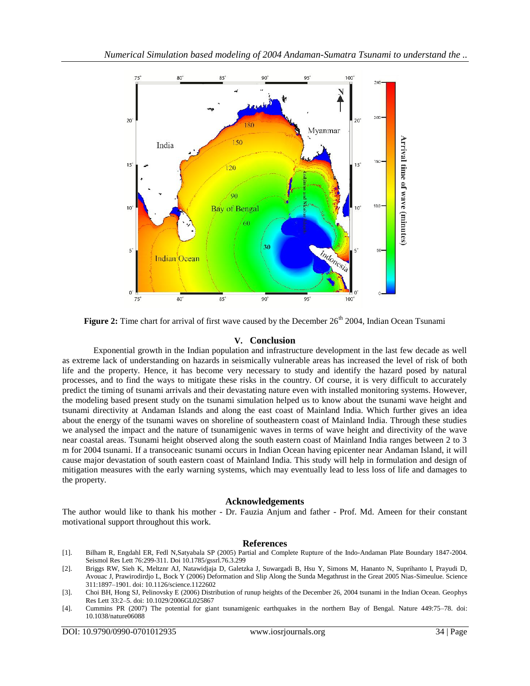

**Figure 2:** Time chart for arrival of first wave caused by the December 26<sup>th</sup> 2004, Indian Ocean Tsunami

### **V. Conclusion**

Exponential growth in the Indian population and infrastructure development in the last few decade as well as extreme lack of understanding on hazards in seismically vulnerable areas has increased the level of risk of both life and the property. Hence, it has become very necessary to study and identify the hazard posed by natural processes, and to find the ways to mitigate these risks in the country. Of course, it is very difficult to accurately predict the timing of tsunami arrivals and their devastating nature even with installed monitoring systems. However, the modeling based present study on the tsunami simulation helped us to know about the tsunami wave height and tsunami directivity at Andaman Islands and along the east coast of Mainland India. Which further gives an idea about the energy of the tsunami waves on shoreline of southeastern coast of Mainland India. Through these studies we analysed the impact and the nature of tsunamigenic waves in terms of wave height and directivity of the wave near coastal areas. Tsunami height observed along the south eastern coast of Mainland India ranges between 2 to 3 m for 2004 tsunami. If a transoceanic tsunami occurs in Indian Ocean having epicenter near Andaman Island, it will cause major devastation of south eastern coast of Mainland India. This study will help in formulation and design of mitigation measures with the early warning systems, which may eventually lead to less loss of life and damages to the property.

#### **Acknowledgements**

The author would like to thank his mother - Dr. Fauzia Anjum and father - Prof. Md. Ameen for their constant motivational support throughout this work.

#### **References**

- [1]. Bilham R, Engdahl ER, Fedl N,Satyabala SP (2005) Partial and Complete Rupture of the Indo-Andaman Plate Boundary 1847-2004. Seismol Res Lett 76:299-311. Doi 10.1785/gssrl.76.3.299
- [2]. Briggs RW, Sieh K, Meltznr AJ, Natawidjaja D, Galetzka J, Suwargadi B, Hsu Y, Simons M, Hananto N, Suprihanto I, Prayudi D, Avouac J, Prawirodirdjo L, Bock Y (2006) Deformation and Slip Along the Sunda Megathrust in the Great 2005 Nias-Simeulue. Science 311:1897–1901. doi: 10.1126/science.1122602
- [3]. Choi BH, Hong SJ, Pelinovsky E (2006) Distribution of runup heights of the December 26, 2004 tsunami in the Indian Ocean. Geophys Res Lett 33:2–5. doi: 10.1029/2006GL025867
- [4]. Cummins PR (2007) The potential for giant tsunamigenic earthquakes in the northern Bay of Bengal. Nature 449:75–78. doi: 10.1038/nature06088